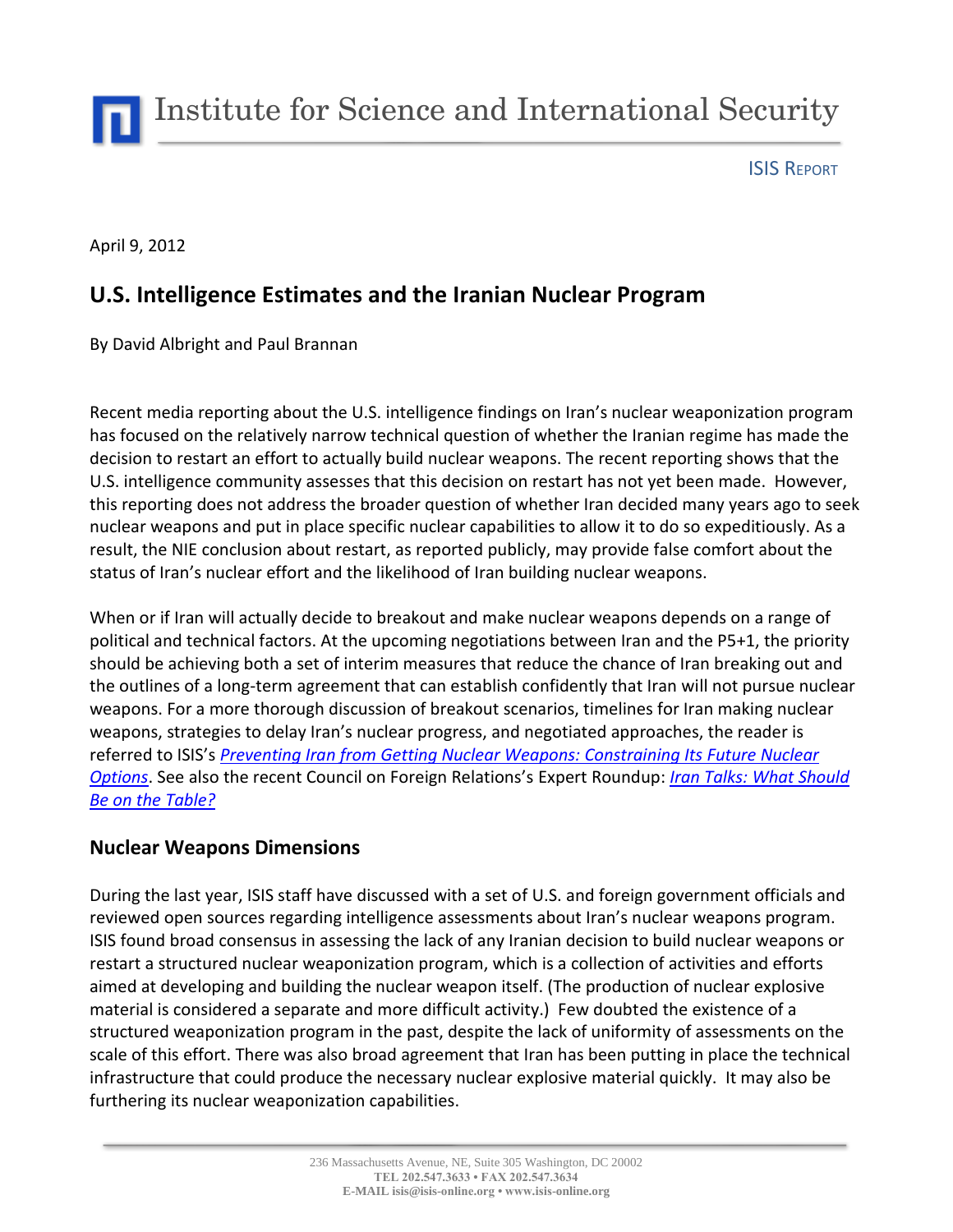Institute for Science and International Security

ISIS REPORT

April 9, 2012

# **U.S. Intelligence Estimates and the Iranian Nuclear Program**

By David Albright and Paul Brannan

Recent media reporting about the U.S. intelligence findings on Iran's nuclear weaponization program has focused on the relatively narrow technical question of whether the Iranian regime has made the decision to restart an effort to actually build nuclear weapons. The recent reporting shows that the U.S. intelligence community assesses that this decision on restart has not yet been made. However, this reporting does not address the broader question of whether Iran decided many years ago to seek nuclear weapons and put in place specific nuclear capabilities to allow it to do so expeditiously. As a result, the NIE conclusion about restart, as reported publicly, may provide false comfort about the status of Iran's nuclear effort and the likelihood of Iran building nuclear weapons.

When or if Iran will actually decide to breakout and make nuclear weapons depends on a range of political and technical factors. At the upcoming negotiations between Iran and the P5+1, the priority should be achieving both a set of interim measures that reduce the chance of Iran breaking out and the outlines of a long-term agreement that can establish confidently that Iran will not pursue nuclear weapons. For a more thorough discussion of breakout scenarios, timelines for Iran making nuclear weapons, strategies to delay Iran's nuclear progress, and negotiated approaches, the reader is referred to ISIS's *[Preventing Iran from Getting Nuclear Weapons: Constraining Its Future Nuclear](http://isis-online.org/uploads/isis-reports/documents/USIP_Template_5March2012-1.pdf)  [Options](http://isis-online.org/uploads/isis-reports/documents/USIP_Template_5March2012-1.pdf)*. See also the recent Council on Foreign Relations's [Expert Roundup:](http://www.cfr.org/publication/by_type/expert_roundups.html) *[Iran Talks: What Should](http://www.cfr.org/iran/iran-talks-should-table/p27714)  [Be on the Table?](http://www.cfr.org/iran/iran-talks-should-table/p27714)*

#### **Nuclear Weapons Dimensions**

During the last year, ISIS staff have discussed with a set of U.S. and foreign government officials and reviewed open sources regarding intelligence assessments about Iran's nuclear weapons program. ISIS found broad consensus in assessing the lack of any Iranian decision to build nuclear weapons or restart a structured nuclear weaponization program, which is a collection of activities and efforts aimed at developing and building the nuclear weapon itself. (The production of nuclear explosive material is considered a separate and more difficult activity.) Few doubted the existence of a structured weaponization program in the past, despite the lack of uniformity of assessments on the scale of this effort. There was also broad agreement that Iran has been putting in place the technical infrastructure that could produce the necessary nuclear explosive material quickly. It may also be furthering its nuclear weaponization capabilities.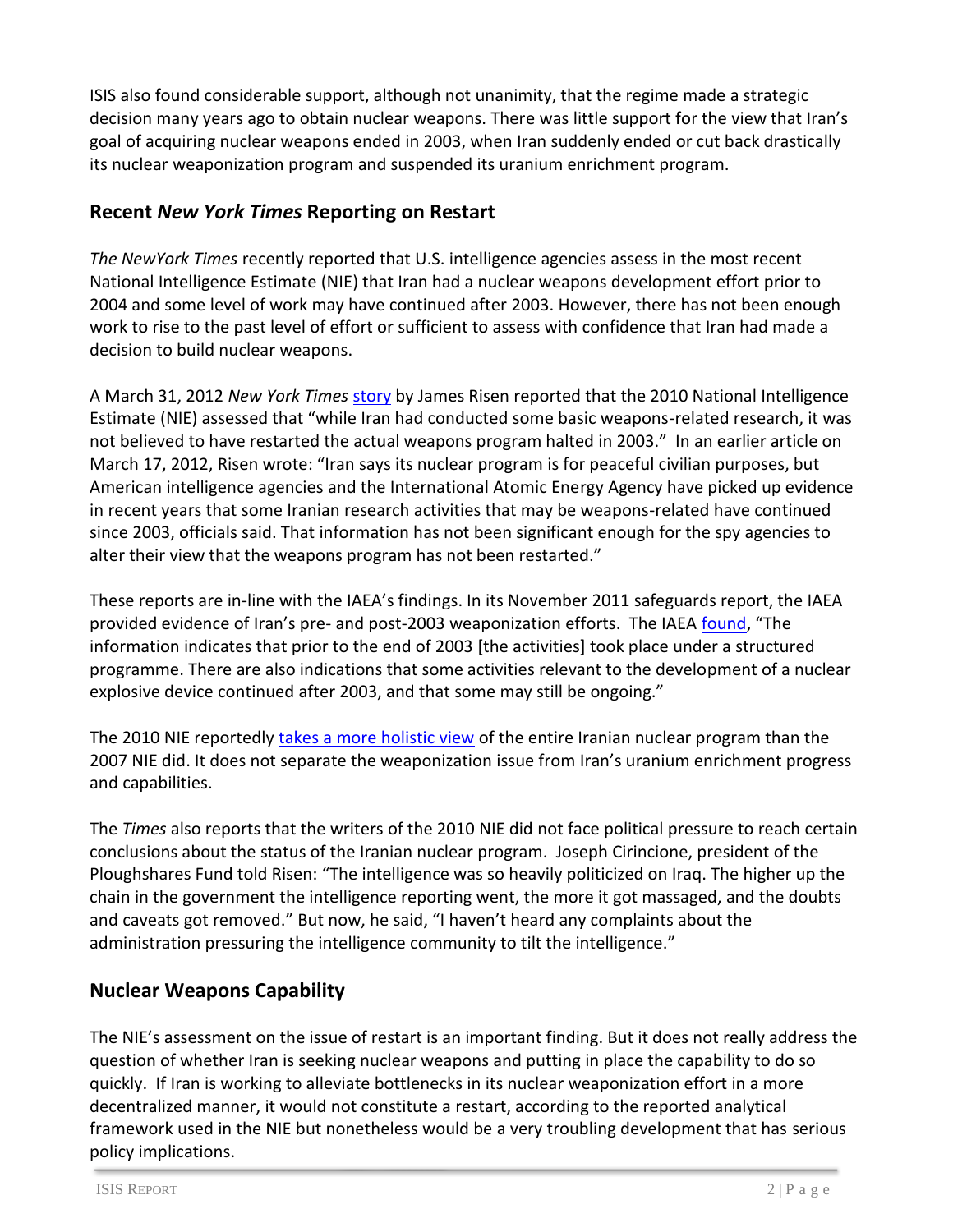ISIS also found considerable support, although not unanimity, that the regime made a strategic decision many years ago to obtain nuclear weapons. There was little support for the view that Iran's goal of acquiring nuclear weapons ended in 2003, when Iran suddenly ended or cut back drastically its nuclear weaponization program and suspended its uranium enrichment program.

### **Recent** *New York Times* **Reporting on Restart**

*The NewYork Times* recently reported that U.S. intelligence agencies assess in the most recent National Intelligence Estimate (NIE) that Iran had a nuclear weapons development effort prior to 2004 and some level of work may have continued after 2003. However, there has not been enough work to rise to the past level of effort or sufficient to assess with confidence that Iran had made a decision to build nuclear weapons.

A March 31, 2012 *New York Times* [story](http://www.nytimes.com/2012/04/01/world/middleeast/assessing-iran-but-thinking-about-iraq.html?pagewanted=all) by James Risen reported that the 2010 National Intelligence Estimate (NIE) assessed that "while Iran had conducted some basic weapons-related research, it was not believed to have restarted the actual weapons program halted in 2003." In an earlier article on March 17, 2012, Risen wrote: "Iran says its nuclear program is for peaceful civilian purposes, but American intelligence agencies and the International Atomic Energy Agency have picked up evidence in recent years that some Iranian research activities that may be weapons-related have continued since 2003, officials said. That information has not been significant enough for the spy agencies to alter their view that the weapons program has not been restarted."

These reports are in-line with the IAEA's findings. In its November 2011 safeguards report, the IAEA provided evidence of Iran's pre- and post-2003 weaponization efforts. The IAEA [found](http://isis-online.org/uploads/isis-reports/documents/IAEA_Iran_8Nov2011.pdf), "The information indicates that prior to the end of 2003 [the activities] took place under a structured programme. There are also indications that some activities relevant to the development of a nuclear explosive device continued after 2003, and that some may still be ongoing."

The 2010 NIE reportedly [takes a more holistic view](http://isis-online.org/isis-reports/detail/the-new-national-intelligence-estimate-on-iran-a-step-in-the-right-directio/) of the entire Iranian nuclear program than the 2007 NIE did. It does not separate the weaponization issue from Iran's uranium enrichment progress and capabilities.

The *Times* also reports that the writers of the 2010 NIE did not face political pressure to reach certain conclusions about the status of the Iranian nuclear program. Joseph Cirincione, president of the Ploughshares Fund told Risen: "The intelligence was so heavily politicized on Iraq. The higher up the chain in the government the intelligence reporting went, the more it got massaged, and the doubts and caveats got removed." But now, he said, "I haven't heard any complaints about the administration pressuring the intelligence community to tilt the intelligence."

## **Nuclear Weapons Capability**

The NIE's assessment on the issue of restart is an important finding. But it does not really address the question of whether Iran is seeking nuclear weapons and putting in place the capability to do so quickly. If Iran is working to alleviate bottlenecks in its nuclear weaponization effort in a more decentralized manner, it would not constitute a restart, according to the reported analytical framework used in the NIE but nonetheless would be a very troubling development that has serious policy implications.